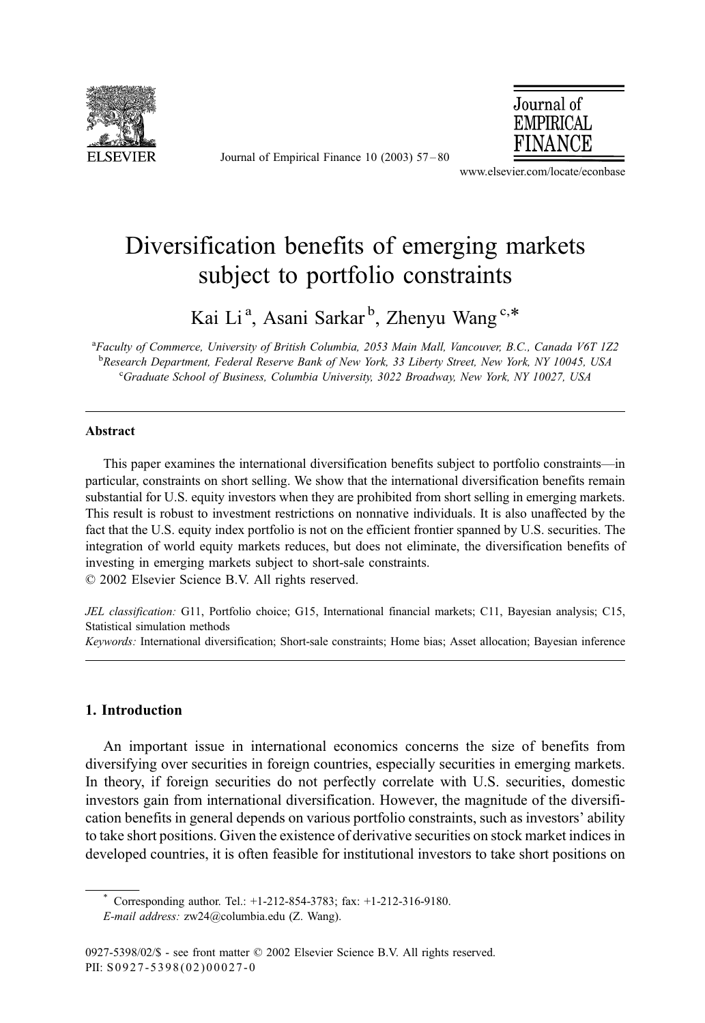

Journal of Empirical Finance 10 (2003) 57 – 80



www.elsevier.com/locate/econbase

## Diversification benefits of emerging markets subject to portfolio constraints

Kai Li<sup>a</sup>, Asani Sarkar<sup>b</sup>, Zhenyu Wang<sup>c,\*</sup>

<sup>a</sup>Faculty of Commerce, University of British Columbia, 2053 Main Mall, Vancouver, B.C., Canada V6T 1Z2 **b Research Department, Federal Reserve Bank of New York, 33 Liberty Street, New York, NY 10045, USA**<br>Creducte School of Business, Columbia University, 3022 Broadway, New York, NY 10027, USA Graduate School of Business, Columbia University, 3022 Broadway, New York, NY 10027, USA

## Abstract

This paper examines the international diversification benefits subject to portfolio constraints—in particular, constraints on short selling. We show that the international diversification benefits remain substantial for U.S. equity investors when they are prohibited from short selling in emerging markets. This result is robust to investment restrictions on nonnative individuals. It is also unaffected by the fact that the U.S. equity index portfolio is not on the efficient frontier spanned by U.S. securities. The integration of world equity markets reduces, but does not eliminate, the diversification benefits of investing in emerging markets subject to short-sale constraints.

 $© 2002 Elsevier Science B.V. All rights reserved.$ 

JEL classification: G11, Portfolio choice; G15, International financial markets; C11, Bayesian analysis; C15, Statistical simulation methods

Keywords: International diversification; Short-sale constraints; Home bias; Asset allocation; Bayesian inference

## 1. Introduction

An important issue in international economics concerns the size of benefits from diversifying over securities in foreign countries, especially securities in emerging markets. In theory, if foreign securities do not perfectly correlate with U.S. securities, domestic investors gain from international diversification. However, the magnitude of the diversification benefits in general depends on various portfolio constraints, such as investors' ability to take short positions. Given the existence of derivative securities on stock market indices in developed countries, it is often feasible for institutional investors to take short positions on

Corresponding author. Tel.: +1-212-854-3783; fax: +1-212-316-9180.

E-mail address: zw24@columbia.edu (Z. Wang).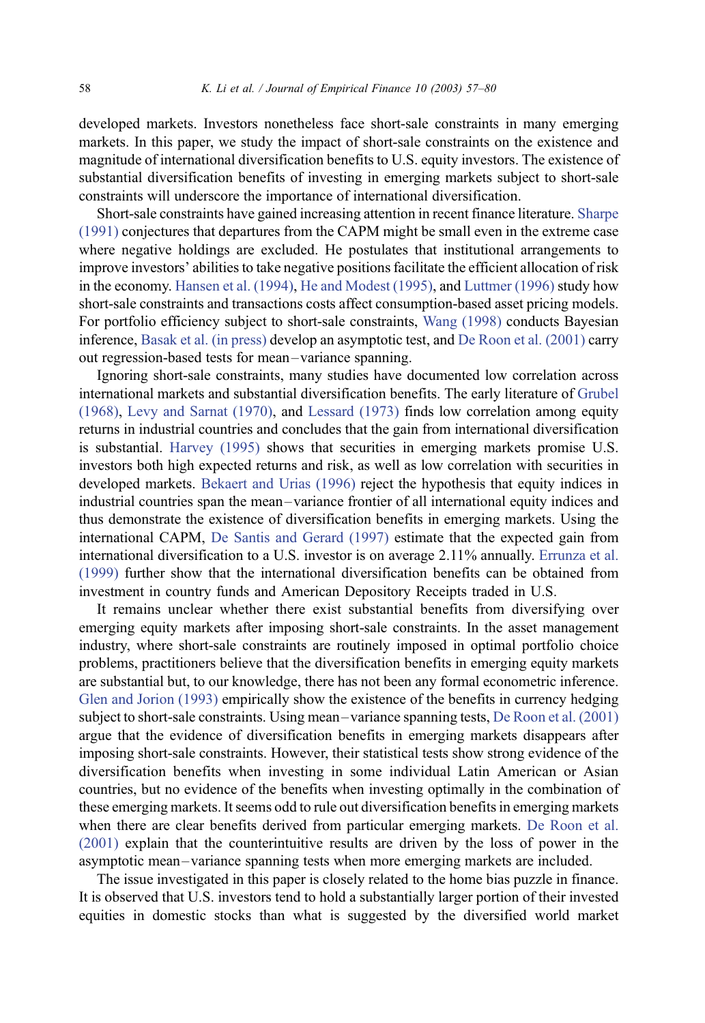developed markets. Investors nonetheless face short-sale constraints in many emerging markets. In this paper, we study the impact of short-sale constraints on the existence and magnitude of international diversification benefits to U.S. equity investors. The existence of substantial diversification benefits of investing in emerging markets subject to short-sale constraints will underscore the importance of international diversification.

Short-sale constraints have gained increasing attention in recent finance literature. [Sharpe](#page--1-0) (1991) conjectures that departures from the CAPM might be small even in the extreme case where negative holdings are excluded. He postulates that institutional arrangements to improve investors' abilities to take negative positions facilitate the efficient allocation of risk in the economy. [Hansen et al. \(1994\),](#page--1-0) [He and Modest \(1995\),](#page--1-0) and [Luttmer \(1996\)](#page--1-0) study how short-sale constraints and transactions costs affect consumption-based asset pricing models. For portfolio efficiency subject to short-sale constraints, [Wang \(1998\)](#page--1-0) conducts Bayesian inference, [Basak et al. \(in press\)](#page--1-0) develop an asymptotic test, and [De Roon et al. \(2001\)](#page--1-0) carry out regression-based tests for mean –variance spanning.

Ignoring short-sale constraints, many studies have documented low correlation across international markets and substantial diversification benefits. The early literature of [Grubel](#page--1-0) (1968), [Levy and Sarnat \(1970\),](#page--1-0) and [Lessard \(1973\)](#page--1-0) finds low correlation among equity returns in industrial countries and concludes that the gain from international diversification is substantial. [Harvey \(1995\)](#page--1-0) shows that securities in emerging markets promise U.S. investors both high expected returns and risk, as well as low correlation with securities in developed markets. [Bekaert and Urias \(1996\)](#page--1-0) reject the hypothesis that equity indices in industrial countries span the mean – variance frontier of all international equity indices and thus demonstrate the existence of diversification benefits in emerging markets. Using the international CAPM, [De Santis and Gerard \(1997\)](#page--1-0) estimate that the expected gain from international diversification to a U.S. investor is on average 2.11% annually. [Errunza et al.](#page--1-0) (1999) further show that the international diversification benefits can be obtained from investment in country funds and American Depository Receipts traded in U.S.

It remains unclear whether there exist substantial benefits from diversifying over emerging equity markets after imposing short-sale constraints. In the asset management industry, where short-sale constraints are routinely imposed in optimal portfolio choice problems, practitioners believe that the diversification benefits in emerging equity markets are substantial but, to our knowledge, there has not been any formal econometric inference. [Glen and Jorion \(1993\)](#page--1-0) empirically show the existence of the benefits in currency hedging subject to short-sale constraints. Using mean – variance spanning tests, [De Roon et al. \(2001\)](#page--1-0) argue that the evidence of diversification benefits in emerging markets disappears after imposing short-sale constraints. However, their statistical tests show strong evidence of the diversification benefits when investing in some individual Latin American or Asian countries, but no evidence of the benefits when investing optimally in the combination of these emerging markets. It seems odd to rule out diversification benefits in emerging markets when there are clear benefits derived from particular emerging markets. [De Roon et al.](#page--1-0) (2001) explain that the counterintuitive results are driven by the loss of power in the asymptotic mean – variance spanning tests when more emerging markets are included.

The issue investigated in this paper is closely related to the home bias puzzle in finance. It is observed that U.S. investors tend to hold a substantially larger portion of their invested equities in domestic stocks than what is suggested by the diversified world market